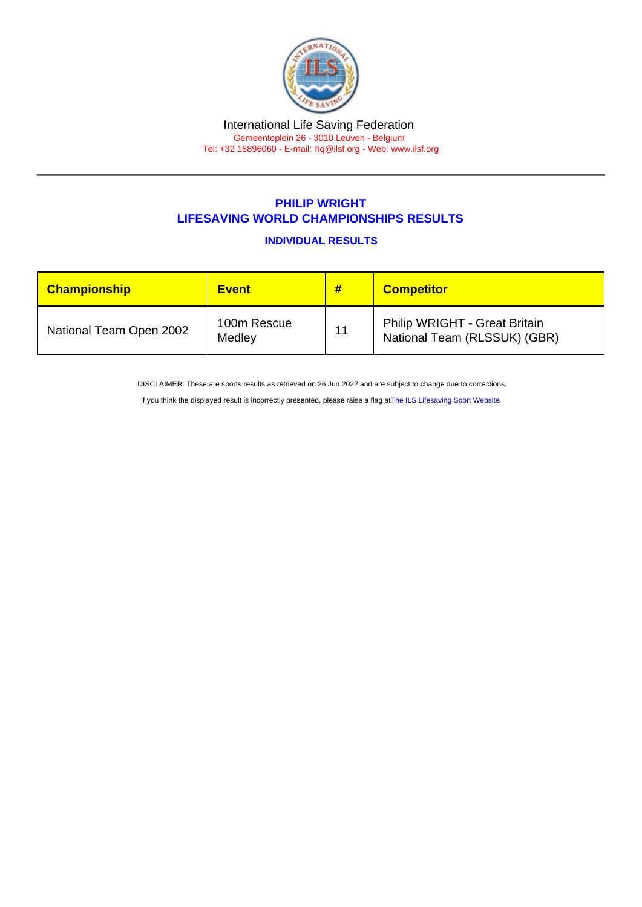## International Life Saving Federation Gemeenteplein 26 - 3010 Leuven - Belgium

Tel: +32 16896060 - E-mail: [hq@ilsf.org](mailto:hq@ilsf.org) - Web: [www.ilsf.org](https://www.ilsf.org)

## PHILIP WRIGHT LIFESAVING WORLD CHAMPIONSHIPS RESULTS

INDIVIDUAL RESULTS

| <b>Championship</b>     | <b>Event</b>          | #  | <b>Competitor</b>                                             |
|-------------------------|-----------------------|----|---------------------------------------------------------------|
| National Team Open 2002 | 100m Rescue<br>Medley | 11 | Philip WRIGHT - Great Britain<br>National Team (RLSSUK) (GBR) |

DISCLAIMER: These are sports results as retrieved on 26 Jun 2022 and are subject to change due to corrections.

If you think the displayed result is incorrectly presented, please raise a flag at [The ILS Lifesaving Sport Website.](https://sport.ilsf.org)